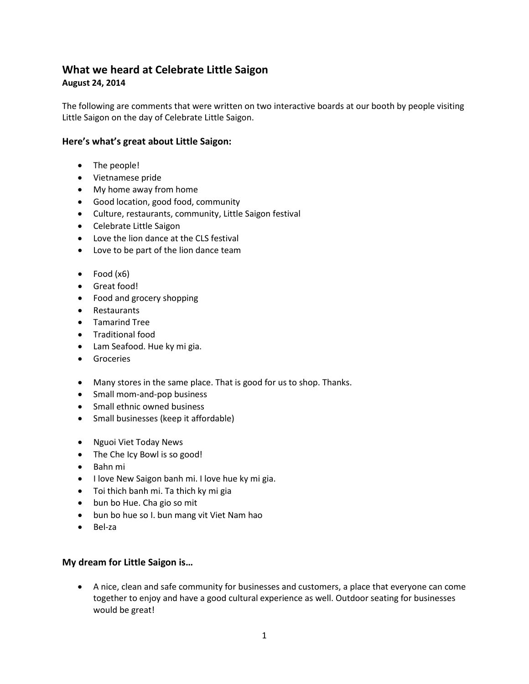## **What we heard at Celebrate Little Saigon August 24, 2014**

The following are comments that were written on two interactive boards at our booth by people visiting Little Saigon on the day of Celebrate Little Saigon.

## **Here's what's great about Little Saigon:**

- The people!
- Vietnamese pride
- My home away from home
- Good location, good food, community
- Culture, restaurants, community, Little Saigon festival
- Celebrate Little Saigon
- Love the lion dance at the CLS festival
- Love to be part of the lion dance team
- Food (x6)
- Great food!
- Food and grocery shopping
- Restaurants
- Tamarind Tree
- Traditional food
- Lam Seafood. Hue ky mi gia.
- Groceries
- Many stores in the same place. That is good for us to shop. Thanks.
- Small mom-and-pop business
- Small ethnic owned business
- Small businesses (keep it affordable)
- Nguoi Viet Today News
- The Che Icy Bowl is so good!
- Bahn mi
- I love New Saigon banh mi. I love hue ky mi gia.
- Toi thich banh mi. Ta thich ky mi gia
- bun bo Hue. Cha gio so mit
- bun bo hue so I. bun mang vit Viet Nam hao
- Bel-za

## **My dream for Little Saigon is…**

• A nice, clean and safe community for businesses and customers, a place that everyone can come together to enjoy and have a good cultural experience as well. Outdoor seating for businesses would be great!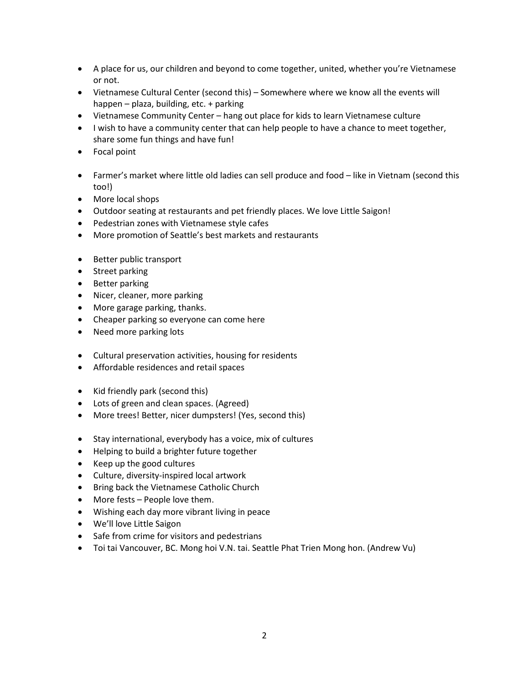- A place for us, our children and beyond to come together, united, whether you're Vietnamese or not.
- Vietnamese Cultural Center (second this) Somewhere where we know all the events will happen – plaza, building, etc. + parking
- Vietnamese Community Center hang out place for kids to learn Vietnamese culture
- I wish to have a community center that can help people to have a chance to meet together, share some fun things and have fun!
- Focal point
- Farmer's market where little old ladies can sell produce and food like in Vietnam (second this too!)
- More local shops
- Outdoor seating at restaurants and pet friendly places. We love Little Saigon!
- Pedestrian zones with Vietnamese style cafes
- More promotion of Seattle's best markets and restaurants
- Better public transport
- Street parking
- Better parking
- Nicer, cleaner, more parking
- More garage parking, thanks.
- Cheaper parking so everyone can come here
- Need more parking lots
- Cultural preservation activities, housing for residents
- Affordable residences and retail spaces
- Kid friendly park (second this)
- Lots of green and clean spaces. (Agreed)
- More trees! Better, nicer dumpsters! (Yes, second this)
- Stay international, everybody has a voice, mix of cultures
- Helping to build a brighter future together
- Keep up the good cultures
- Culture, diversity-inspired local artwork
- Bring back the Vietnamese Catholic Church
- More fests People love them.
- Wishing each day more vibrant living in peace
- We'll love Little Saigon
- Safe from crime for visitors and pedestrians
- Toi tai Vancouver, BC. Mong hoi V.N. tai. Seattle Phat Trien Mong hon. (Andrew Vu)